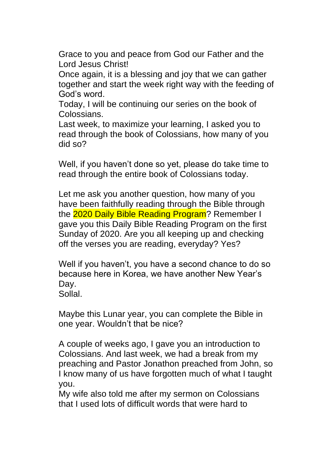Grace to you and peace from God our Father and the Lord Jesus Christ!

Once again, it is a blessing and joy that we can gather together and start the week right way with the feeding of God's word.

Today, I will be continuing our series on the book of Colossians.

Last week, to maximize your learning, I asked you to read through the book of Colossians, how many of you did so?

Well, if you haven't done so yet, please do take time to read through the entire book of Colossians today.

Let me ask you another question, how many of you have been faithfully reading through the Bible through the 2020 Daily Bible Reading Program? Remember I gave you this Daily Bible Reading Program on the first Sunday of 2020. Are you all keeping up and checking off the verses you are reading, everyday? Yes?

Well if you haven't, you have a second chance to do so because here in Korea, we have another New Year's Day.

Sollal.

Maybe this Lunar year, you can complete the Bible in one year. Wouldn't that be nice?

A couple of weeks ago, I gave you an introduction to Colossians. And last week, we had a break from my preaching and Pastor Jonathon preached from John, so I know many of us have forgotten much of what I taught you.

My wife also told me after my sermon on Colossians that I used lots of difficult words that were hard to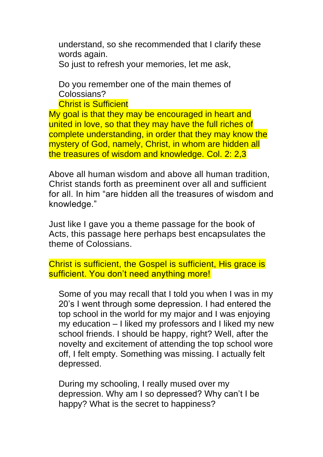understand, so she recommended that I clarify these words again.

So just to refresh your memories, let me ask,

Do you remember one of the main themes of Colossians?

Christ is Sufficient

My goal is that they may be encouraged in heart and united in love, so that they may have the full riches of complete understanding, in order that they may know the mystery of God, namely, Christ, in whom are hidden all the treasures of wisdom and knowledge. Col. 2: 2,3

Above all human wisdom and above all human tradition, Christ stands forth as preeminent over all and sufficient for all. In him "are hidden all the treasures of wisdom and knowledge."

Just like I gave you a theme passage for the book of Acts, this passage here perhaps best encapsulates the theme of Colossians.

Christ is sufficient, the Gospel is sufficient, His grace is sufficient. You don't need anything more!

Some of you may recall that I told you when I was in my 20's I went through some depression. I had entered the top school in the world for my major and I was enjoying my education – I liked my professors and I liked my new school friends. I should be happy, right? Well, after the novelty and excitement of attending the top school wore off, I felt empty. Something was missing. I actually felt depressed.

During my schooling, I really mused over my depression. Why am I so depressed? Why can't I be happy? What is the secret to happiness?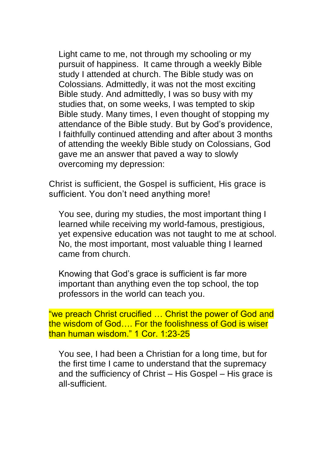Light came to me, not through my schooling or my pursuit of happiness. It came through a weekly Bible study I attended at church. The Bible study was on Colossians. Admittedly, it was not the most exciting Bible study. And admittedly, I was so busy with my studies that, on some weeks, I was tempted to skip Bible study. Many times, I even thought of stopping my attendance of the Bible study. But by God's providence, I faithfully continued attending and after about 3 months of attending the weekly Bible study on Colossians, God gave me an answer that paved a way to slowly overcoming my depression:

Christ is sufficient, the Gospel is sufficient, His grace is sufficient. You don't need anything more!

You see, during my studies, the most important thing I learned while receiving my world-famous, prestigious, yet expensive education was not taught to me at school. No, the most important, most valuable thing I learned came from church.

Knowing that God's grace is sufficient is far more important than anything even the top school, the top professors in the world can teach you.

"we preach Christ crucified … Christ the power of God and the wisdom of God…. For the foolishness of God is wiser than human wisdom." 1 Cor. 1:23-25

You see, I had been a Christian for a long time, but for the first time I came to understand that the supremacy and the sufficiency of Christ – His Gospel – His grace is all-sufficient.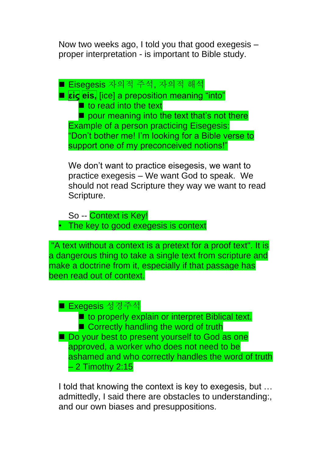Now two weeks ago, I told you that good exegesis – proper interpretation - is important to Bible study.

■ Eisegesis 자의적 주석, 자의적 해석 ■ **είς eis,** [ice] a preposition meaning "into"  $\blacksquare$  to read into the text  $\blacksquare$  pour meaning into the text that's not there Example of a person practicing Eisegesis: "Don't bother me! I'm looking for a Bible verse to support one of my preconceived notions!"

We don't want to practice eisegesis, we want to practice exegesis – We want God to speak. We should not read Scripture they way we want to read Scripture.

So -- Context is Key! • The key to good exegesis is context

"A text without a context is a pretext for a proof text". It is a dangerous thing to take a single text from scripture and make a doctrine from it, especially if that passage has been read out of context.

## ■ Exegesis 성경주석

■ to properly explain or interpret Biblical text. ■ Correctly handling the word of truth ■ Do your best to present yourself to God as one approved, a worker who does not need to be ashamed and who correctly handles the word of truth – 2 Timothy 2:15

I told that knowing the context is key to exegesis, but … admittedly, I said there are obstacles to understanding:, and our own biases and presuppositions.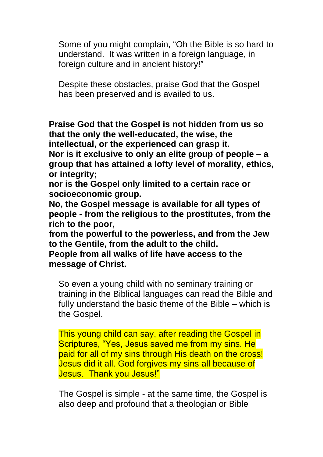Some of you might complain, "Oh the Bible is so hard to understand. It was written in a foreign language, in foreign culture and in ancient history!"

Despite these obstacles, praise God that the Gospel has been preserved and is availed to us.

**Praise God that the Gospel is not hidden from us so that the only the well-educated, the wise, the intellectual, or the experienced can grasp it.** 

**Nor is it exclusive to only an elite group of people – a group that has attained a lofty level of morality, ethics, or integrity;** 

**nor is the Gospel only limited to a certain race or socioeconomic group.** 

**No, the Gospel message is available for all types of people - from the religious to the prostitutes, from the rich to the poor,** 

**from the powerful to the powerless, and from the Jew to the Gentile, from the adult to the child.** 

**People from all walks of life have access to the message of Christ.**

So even a young child with no seminary training or training in the Biblical languages can read the Bible and fully understand the basic theme of the Bible – which is the Gospel.

This young child can say, after reading the Gospel in Scriptures, "Yes, Jesus saved me from my sins. He paid for all of my sins through His death on the cross! Jesus did it all. God forgives my sins all because of Jesus. Thank you Jesus!"

The Gospel is simple - at the same time, the Gospel is also deep and profound that a theologian or Bible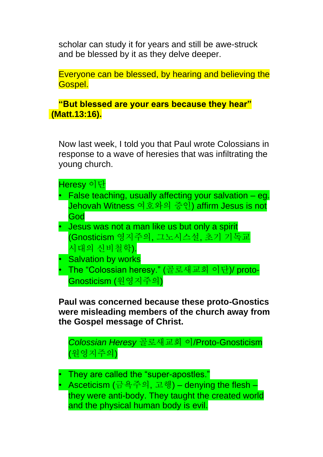scholar can study it for years and still be awe-struck and be blessed by it as they delve deeper.

Everyone can be blessed, by hearing and believing the Gospel.

**"But blessed are your ears because they hear" (Matt.13:16).** 

Now last week, I told you that Paul wrote Colossians in response to a wave of heresies that was infiltrating the young church.

Heresy 이단

- False teaching, usually affecting your salvation eg. Jehovah Witness 여호와의 증인) affirm Jesus is not God
- Jesus was not a man like us but only a spirit (Gnosticism 영지주의, 그노시스설, 초기 기독교 시대의 신비철학).
- **Salvation by works**
- The "Colossian heresy." (골로새교회 이단)/ proto-Gnosticism (원영지주의)

**Paul was concerned because these proto-Gnostics were misleading members of the church away from the Gospel message of Christ.** 

*Colossian Heresy* 골로새교회 이/Proto-Gnosticism (원영지주의)

- They are called the "super-apostles."
- Asceticism (금욕주의, 고행) denying the flesh they were anti-body. They taught the created world and the physical human body is evil.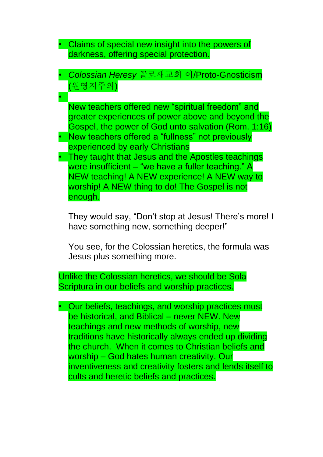- Claims of special new insight into the powers of darkness, offering special protection.
- *Colossian Heresy* 골로새교회 이/Proto-Gnosticism (원영지주의)
- New teachers offered new "spiritual freedom" and greater experiences of power above and beyond the Gospel, the power of God unto salvation (Rom. 1:16)
- New teachers offered a "fullness" not previously experienced by early Christians

•

• They taught that Jesus and the Apostles teachings were insufficient – "we have a fuller teaching." A NEW teaching! A NEW experience! A NEW way to worship! A NEW thing to do! The Gospel is not enough.

They would say, "Don't stop at Jesus! There's more! I have something new, something deeper!"

You see, for the Colossian heretics, the formula was Jesus plus something more.

Unlike the Colossian heretics, we should be Sola Scriptura in our beliefs and worship practices.

• Our beliefs, teachings, and worship practices must be historical, and Biblical – never NEW. New teachings and new methods of worship, new traditions have historically always ended up dividing the church. When it comes to Christian beliefs and worship – God hates human creativity. Our inventiveness and creativity fosters and lends itself to cults and heretic beliefs and practices.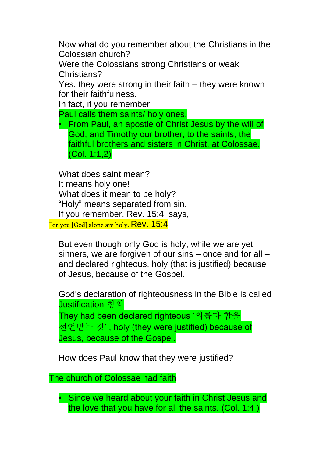Now what do you remember about the Christians in the Colossian church?

Were the Colossians strong Christians or weak Christians?

Yes, they were strong in their faith – they were known for their faithfulness.

In fact, if you remember,

Paul calls them saints/ holy ones.

• From Paul, an apostle of Christ Jesus by the will of God, and Timothy our brother, to the saints, the faithful brothers and sisters in Christ, at Colossae. (Col. 1:1,2)

What does saint mean? It means holy one! What does it mean to be holy? "Holy" means separated from sin. If you remember, Rev. 15:4, says,

For you [God] alone are holy. Rev. 15:4

But even though only God is holy, while we are yet sinners, we are forgiven of our sins – once and for all – and declared righteous, holy (that is justified) because of Jesus, because of the Gospel.

God's declaration of righteousness in the Bible is called Justification 칭의 They had been declared righteous '의롭다 함을 선언받는 것' , holy (they were justified) because of Jesus, because of the Gospel.

How does Paul know that they were justified?

The church of Colossae had faith

• Since we heard about your faith in Christ Jesus and the love that you have for all the saints. (Col. 1:4 )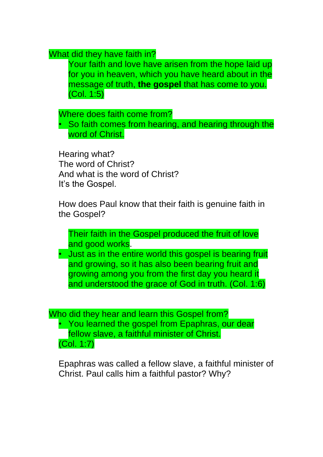What did they have faith in?

Your faith and love have arisen from the hope laid up for you in heaven, which you have heard about in the message of truth, **the gospel** that has come to you. (Col. 1:5)

Where does faith come from?

• So faith comes from hearing, and hearing through the word of Christ.

Hearing what? The word of Christ? And what is the word of Christ? It's the Gospel.

How does Paul know that their faith is genuine faith in the Gospel?

Their faith in the Gospel produced the fruit of love and good works.

• Just as in the entire world this gospel is bearing fruit and growing, so it has also been bearing fruit and growing among you from the first day you heard it and understood the grace of God in truth. (Col. 1:6)

Who did they hear and learn this Gospel from? • You learned the gospel from Epaphras, our dear fellow slave, a faithful minister of Christ. (Col. 1:7)

Epaphras was called a fellow slave, a faithful minister of Christ. Paul calls him a faithful pastor? Why?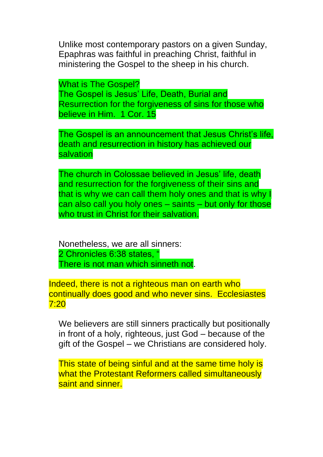Unlike most contemporary pastors on a given Sunday, Epaphras was faithful in preaching Christ, faithful in ministering the Gospel to the sheep in his church.

What is The Gospel? The Gospel is Jesus' Life, Death, Burial and Resurrection for the forgiveness of sins for those who believe in Him. 1 Cor. 15

The Gospel is an announcement that Jesus Christ's life, death and resurrection in history has achieved our salvation

The church in Colossae believed in Jesus' life, death and resurrection for the forgiveness of their sins and that is why we can call them holy ones and that is why I can also call you holy ones – saints – but only for those who trust in Christ for their salvation.

Nonetheless, we are all sinners: 2 Chronicles 6:38 states, " There is not man which sinneth not.

Indeed, there is not a righteous man on earth who continually does good and who never sins. Ecclesiastes 7:20

We believers are still sinners practically but positionally in front of a holy, righteous, just God – because of the gift of the Gospel – we Christians are considered holy.

This state of being sinful and at the same time holy is what the Protestant Reformers called simultaneously saint and sinner.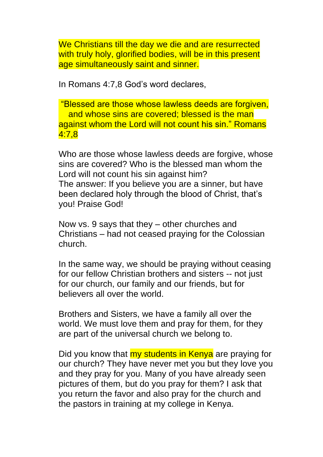We Christians till the day we die and are resurrected with truly holy, glorified bodies, will be in this present age simultaneously saint and sinner.

In Romans 4:7,8 God's word declares,

"Blessed are those whose lawless deeds are forgiven, and whose sins are covered; blessed is the man against whom the Lord will not count his sin." Romans 4:7,8

Who are those whose lawless deeds are forgive, whose sins are covered? Who is the blessed man whom the Lord will not count his sin against him? The answer: If you believe you are a sinner, but have been declared holy through the blood of Christ, that's you! Praise God!

Now vs. 9 says that they – other churches and Christians – had not ceased praying for the Colossian church.

In the same way, we should be praying without ceasing for our fellow Christian brothers and sisters -- not just for our church, our family and our friends, but for believers all over the world.

Brothers and Sisters, we have a family all over the world. We must love them and pray for them, for they are part of the universal church we belong to.

Did you know that **my students in Kenya** are praying for our church? They have never met you but they love you and they pray for you. Many of you have already seen pictures of them, but do you pray for them? I ask that you return the favor and also pray for the church and the pastors in training at my college in Kenya.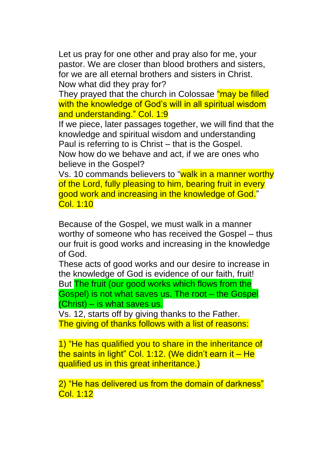Let us pray for one other and pray also for me, your pastor. We are closer than blood brothers and sisters, for we are all eternal brothers and sisters in Christ. Now what did they pray for?

They prayed that the church in Colossae "may be filled with the knowledge of God's will in all spiritual wisdom and understanding." Col. 1:9

If we piece, later passages together, we will find that the knowledge and spiritual wisdom and understanding Paul is referring to is Christ – that is the Gospel.

Now how do we behave and act, if we are ones who believe in the Gospel?

Vs. 10 commands believers to "walk in a manner worthy of the Lord, fully pleasing to him, bearing fruit in every good work and increasing in the knowledge of God." Col. 1:10

Because of the Gospel, we must walk in a manner worthy of someone who has received the Gospel – thus our fruit is good works and increasing in the knowledge of God.

These acts of good works and our desire to increase in the knowledge of God is evidence of our faith, fruit! But The fruit (our good works which flows from the Gospel) is not what saves us. The root – the Gospel (Christ) – is what saves us.

Vs. 12, starts off by giving thanks to the Father. The giving of thanks follows with a list of reasons:

1) "He has qualified you to share in the inheritance of the saints in light" Col. 1:12. (We didn't earn it – He qualified us in this great inheritance.)

2) "He has delivered us from the domain of darkness" Col. 1:12